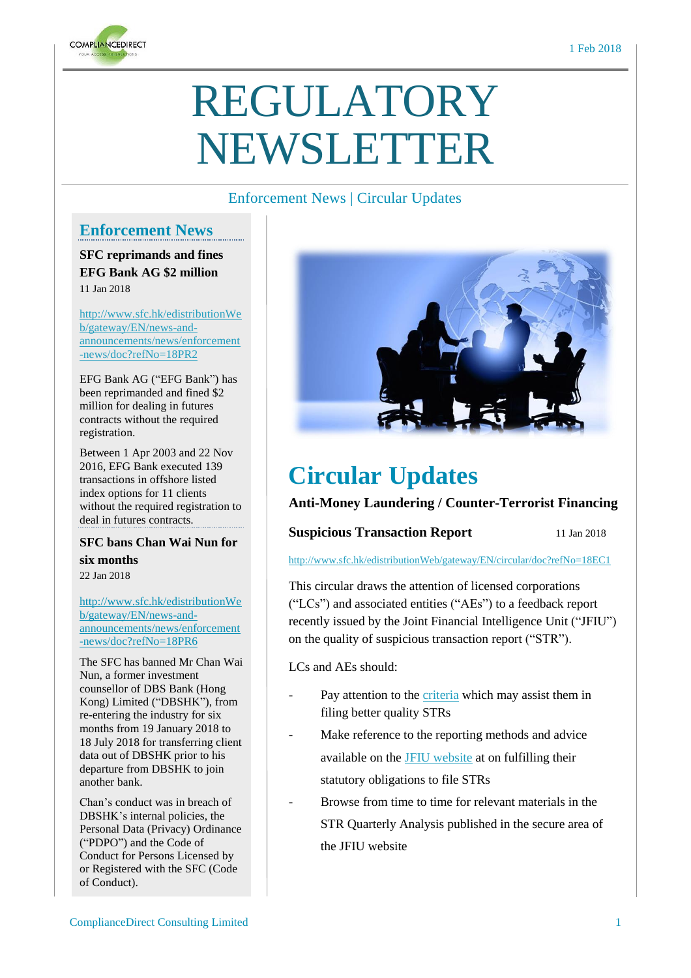

# REGULATORY NEWSLETTER

# Enforcement News | Circular Updates

# **Enforcement News**

**SFC reprimands and fines EFG Bank AG \$2 million**  11 Jan 2018

[http://www.sfc.hk/edistributionWe](http://www.sfc.hk/edistributionWeb/gateway/EN/news-and-announcements/news/enforcement-news/doc?refNo=18PR2) [b/gateway/EN/news-and](http://www.sfc.hk/edistributionWeb/gateway/EN/news-and-announcements/news/enforcement-news/doc?refNo=18PR2)[announcements/news/enforcement](http://www.sfc.hk/edistributionWeb/gateway/EN/news-and-announcements/news/enforcement-news/doc?refNo=18PR2) [-news/doc?refNo=18PR2](http://www.sfc.hk/edistributionWeb/gateway/EN/news-and-announcements/news/enforcement-news/doc?refNo=18PR2)

EFG Bank AG ("EFG Bank") has been reprimanded and fined \$2 million for dealing in futures contracts without the required registration.

Between 1 Apr 2003 and 22 Nov 2016, EFG Bank executed 139 transactions in offshore listed index options for 11 clients without the required registration to deal in futures contracts.

#### **SFC bans Chan Wai Nun for six months**  22 Jan 2018

[http://www.sfc.hk/edistributionWe](http://www.sfc.hk/edistributionWeb/gateway/EN/news-and-announcements/news/enforcement-news/doc?refNo=18PR6) [b/gateway/EN/news-and](http://www.sfc.hk/edistributionWeb/gateway/EN/news-and-announcements/news/enforcement-news/doc?refNo=18PR6)[announcements/news/enforcement](http://www.sfc.hk/edistributionWeb/gateway/EN/news-and-announcements/news/enforcement-news/doc?refNo=18PR6) [-news/doc?refNo=18PR6](http://www.sfc.hk/edistributionWeb/gateway/EN/news-and-announcements/news/enforcement-news/doc?refNo=18PR6)

The SFC has banned Mr Chan Wai Nun, a former investment counsellor of DBS Bank (Hong Kong) Limited ("DBSHK"), from re-entering the industry for six months from 19 January 2018 to 18 July 2018 for transferring client data out of DBSHK prior to his departure from DBSHK to join another bank.

Chan's conduct was in breach of DBSHK's internal policies, the Personal Data (Privacy) Ordinance ("PDPO") and the Code of Conduct for Persons Licensed by or Registered with the SFC (Code of Conduct).



# **Circular Updates**

### **Anti-Money Laundering / Counter-Terrorist Financing**

#### **Suspicious Transaction Report** 11 Jan 2018

<http://www.sfc.hk/edistributionWeb/gateway/EN/circular/doc?refNo=18EC1>

This circular draws the attention of licensed corporations ("LCs") and associated entities ("AEs") to a feedback report recently issued by the Joint Financial Intelligence Unit ("JFIU") on the quality of suspicious transaction report ("STR").

LCs and AEs should:

- Pay attention to the *[criteria](http://www.sfc.hk/edistributionWeb/gateway/EN/circular/openAppendix?refNo=18EC1&appendix=0)* which may assist them in filing better quality STRs
- Make reference to the reporting methods and advice available on the JFIU [website](https://www.jfiu.gov.hk/index.html) at on fulfilling their statutory obligations to file STRs
- Browse from time to time for relevant materials in the STR Quarterly Analysis published in the secure area of the JFIU website